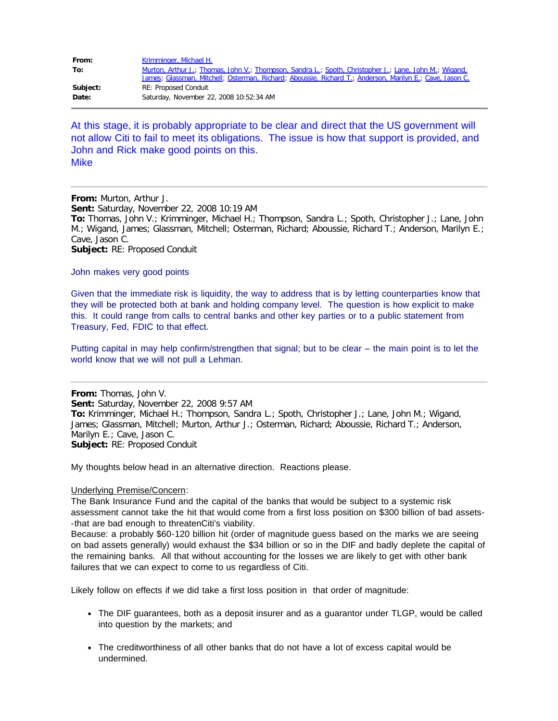| From:    | Krimminger, Michael H.                                                                                   |
|----------|----------------------------------------------------------------------------------------------------------|
| To:      | Murton, Arthur J.; Thomas, John V.; Thompson, Sandra L.; Spoth, Christopher J.; Lane, John M.; Wigand,   |
|          | James; Glassman, Mitchell; Osterman, Richard; Aboussie, Richard T.; Anderson, Marilyn E.; Cave, Jason C. |
| Subject: | <b>RE: Proposed Conduit</b>                                                                              |
| Date:    | Saturday, November 22, 2008 10:52:34 AM                                                                  |

At this stage, it is probably appropriate to be clear and direct that the US government will not allow Citi to fail to meet its obligations. The issue is how that support is provided, and John and Rick make good points on this. **Mike** 

**From:** Murton, Arthur J. **Sent:** Saturday, November 22, 2008 10:19 AM **To:** Thomas, John V.; Krimminger, Michael H.; Thompson, Sandra L.; Spoth, Christopher J.; Lane, John M.; Wigand, James; Glassman, Mitchell; Osterman, Richard; Aboussie, Richard T.; Anderson, Marilyn E.; Cave, Jason C. **Subject:** RE: Proposed Conduit

John makes very good points

Given that the immediate risk is liquidity, the way to address that is by letting counterparties know that they will be protected both at bank and holding company level. The question is how explicit to make this. It could range from calls to central banks and other key parties or to a public statement from Treasury, Fed, FDIC to that effect.

Putting capital in may help confirm/strengthen that signal; but to be clear – the main point is to let the world know that we will not pull a Lehman.

**From:** Thomas, John V. **Sent:** Saturday, November 22, 2008 9:57 AM **To:** Krimminger, Michael H.; Thompson, Sandra L.; Spoth, Christopher J.; Lane, John M.; Wigand, James; Glassman, Mitchell; Murton, Arthur J.; Osterman, Richard; Aboussie, Richard T.; Anderson, Marilyn E.; Cave, Jason C. **Subject:** RE: Proposed Conduit

My thoughts below head in an alternative direction. Reactions please.

## Underlying Premise/Concern:

The Bank Insurance Fund and the capital of the banks that would be subject to a systemic risk assessment cannot take the hit that would come from a first loss position on \$300 billion of bad assets- -that are bad enough to threatenCiti's viability.

Because: a probably \$60-120 billion hit (order of magnitude guess based on the marks we are seeing on bad assets generally) would exhaust the \$34 billion or so in the DIF and badly deplete the capital of the remaining banks. All that without accounting for the losses we are likely to get with other bank failures that we can expect to come to us regardless of Citi.

Likely follow on effects if we did take a first loss position in that order of magnitude:

- The DIF guarantees, both as a deposit insurer and as a guarantor under TLGP, would be called into question by the markets; and
- The creditworthiness of all other banks that do not have a lot of excess capital would be undermined.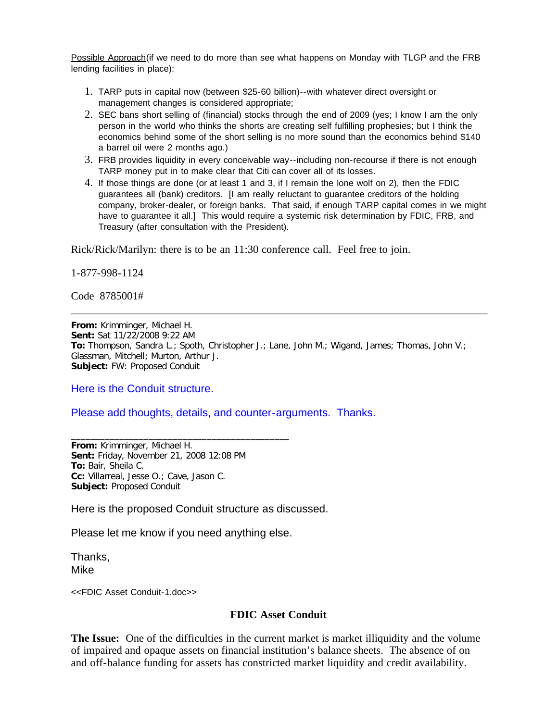Possible Approach(if we need to do more than see what happens on Monday with TLGP and the FRB lending facilities in place):

- 1. TARP puts in capital now (between \$25-60 billion)--with whatever direct oversight or management changes is considered appropriate;
- 2. SEC bans short selling of (financial) stocks through the end of 2009 (yes; I know I am the only person in the world who thinks the shorts are creating self fulfilling prophesies; but I think the economics behind some of the short selling is no more sound than the economics behind \$140 a barrel oil were 2 months ago.)
- 3. FRB provides liquidity in every conceivable way--including non-recourse if there is not enough TARP money put in to make clear that Citi can cover all of its losses.
- 4. If those things are done (or at least 1 and 3, if I remain the lone wolf on 2), then the FDIC guarantees all (bank) creditors. [I am really reluctant to guarantee creditors of the holding company, broker-dealer, or foreign banks. That said, if enough TARP capital comes in we might have to guarantee it all.] This would require a systemic risk determination by FDIC, FRB, and Treasury (after consultation with the President).

Rick/Rick/Marilyn: there is to be an 11:30 conference call. Feel free to join.

1-877-998-1124

Code 8785001#

**From:** Krimminger, Michael H. **Sent:** Sat 11/22/2008 9:22 AM **To:** Thompson, Sandra L.; Spoth, Christopher J.; Lane, John M.; Wigand, James; Thomas, John V.; Glassman, Mitchell; Murton, Arthur J. **Subject:** FW: Proposed Conduit

Here is the Conduit structure.

## Please add thoughts, details, and counter-arguments. Thanks.

**From:** Krimminger, Michael H. **Sent:** Friday, November 21, 2008 12:08 PM **To:** Bair, Sheila C. **Cc:** Villarreal, Jesse O.; Cave, Jason C. **Subject:** Proposed Conduit

Here is the proposed Conduit structure as discussed.

Please let me know if you need anything else.

\_\_\_\_\_\_\_\_\_\_\_\_\_\_\_\_\_\_\_\_\_\_\_\_\_\_\_\_\_\_\_\_\_\_\_\_\_\_\_\_\_\_\_\_\_

Thanks, Mike

<<FDIC Asset Conduit-1.doc>>

## **FDIC Asset Conduit**

**The Issue:** One of the difficulties in the current market is market illiquidity and the volume of impaired and opaque assets on financial institution's balance sheets. The absence of on and off-balance funding for assets has constricted market liquidity and credit availability.